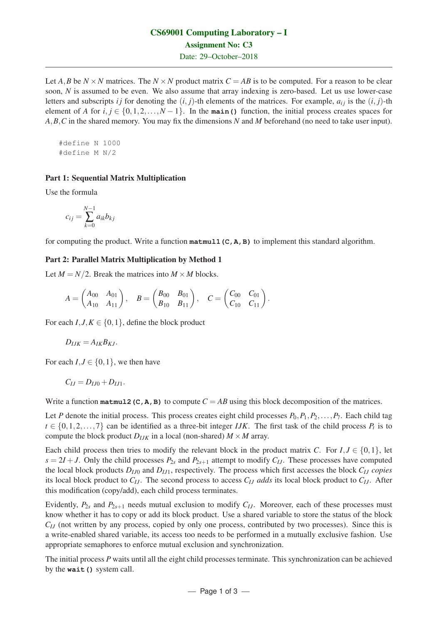# CS69001 Computing Laboratory – I Assignment No: C3

Date: 29–October–2018

Let *A*, *B* be  $N \times N$  matrices. The  $N \times N$  product matrix  $C = AB$  is to be computed. For a reason to be clear soon, *N* is assumed to be even. We also assume that array indexing is zero-based. Let us use lower-case letters and subscripts *i* j for denoting the  $(i, j)$ -th elements of the matrices. For example,  $a_{ij}$  is the  $(i, j)$ -th element of *A* for  $i, j \in \{0, 1, 2, ..., N - 1\}$ . In the **main()** function, the initial process creates spaces for *A*,*B*,*C* in the shared memory. You may fix the dimensions *N* and *M* beforehand (no need to take user input).

#define N 1000 #define M N/2

## Part 1: Sequential Matrix Multiplication

Use the formula

$$
c_{ij} = \sum_{k=0}^{N-1} a_{ik} b_{kj}
$$

for computing the product. Write a function **matmul1(C,A,B)** to implement this standard algorithm.

#### Part 2: Parallel Matrix Multiplication by Method 1

Let  $M = N/2$ . Break the matrices into  $M \times M$  blocks.

$$
A = \begin{pmatrix} A_{00} & A_{01} \\ A_{10} & A_{11} \end{pmatrix}, \quad B = \begin{pmatrix} B_{00} & B_{01} \\ B_{10} & B_{11} \end{pmatrix}, \quad C = \begin{pmatrix} C_{00} & C_{01} \\ C_{10} & C_{11} \end{pmatrix}.
$$

For each  $I, J, K \in \{0, 1\}$ , define the block product

$$
D_{IJK}=A_{IK}B_{KJ}.
$$

For each  $I, J \in \{0, 1\}$ , we then have

$$
C_{IJ}=D_{IJ0}+D_{IJ1}.
$$

Write a function **matmul2 (C, A, B)** to compute  $C = AB$  using this block decomposition of the matrices.

Let *P* denote the initial process. This process creates eight child processes  $P_0, P_1, P_2, \ldots, P_7$ . Each child tag  $t \in \{0, 1, 2, \ldots, 7\}$  can be identified as a three-bit integer *IJK*. The first task of the child process  $P_t$  is to compute the block product  $D_{IJK}$  in a local (non-shared)  $M \times M$  array.

Each child process then tries to modify the relevant block in the product matrix *C*. For  $I, J \in \{0, 1\}$ , let  $s = 2I + J$ . Only the child processes  $P_{2s}$  and  $P_{2s+1}$  attempt to modify  $C_{IJ}$ . These processes have computed the local block products *DIJ*<sup>0</sup> and *DIJ*1, respectively. The process which first accesses the block *CIJ copies* its local block product to *CIJ*. The second process to access *CIJ adds* its local block product to *CIJ*. After this modification (copy/add), each child process terminates.

Evidently,  $P_{2s}$  and  $P_{2s+1}$  needs mutual exclusion to modify  $C_{IJ}$ . Moreover, each of these processes must know whether it has to copy or add its block product. Use a shared variable to store the status of the block *C<sub>IJ</sub>* (not written by any process, copied by only one process, contributed by two processes). Since this is a write-enabled shared variable, its access too needs to be performed in a mutually exclusive fashion. Use appropriate semaphores to enforce mutual exclusion and synchronization.

The initial process *P* waits until all the eight child processes terminate. This synchronization can be achieved by the **wait()** system call.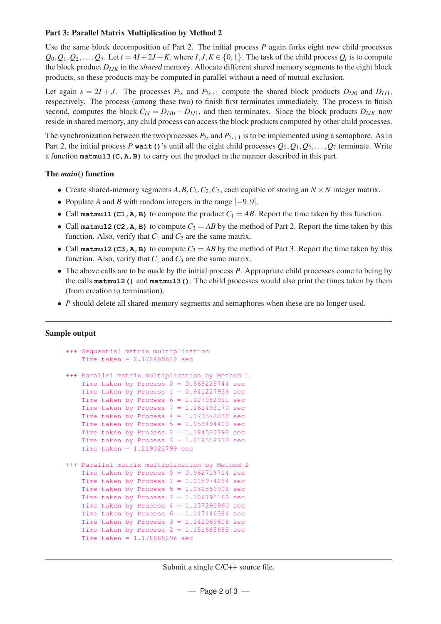## Part 3: Parallel Matrix Multiplication by Method 2

Use the same block decomposition of Part 2. The initial process *P* again forks eight new child processes  $Q_0, Q_1, Q_2, \ldots, Q_7$ . Let  $t = 4I + 2J + K$ , where  $I, J, K \in \{0, 1\}$ . The task of the child process  $Q_t$  is to compute the block product *DIJK* in the *shared* memory. Allocate different shared memory segments to the eight block products, so these products may be computed in parallel without a need of mutual exclusion.

Let again  $s = 2I + J$ . The processes  $P_{2s}$  and  $P_{2s+1}$  compute the shared block products  $D_{IJ0}$  and  $D_{IJ1}$ , respectively. The process (among these two) to finish first terminates immediately. The process to finish second, computes the block  $C_{IJ} = D_{IJ0} + D_{IJ1}$ , and then terminates. Since the block products  $D_{IJK}$  now reside in shared memory, any child process can access the block products computed by other child processes.

The synchronization between the two processes  $P_{2s}$  and  $P_{2s+1}$  is to be implemented using a semaphore. As in Part 2, the initial process *P* wait () 's until all the eight child processes  $Q_0, Q_1, Q_2, \ldots, Q_7$  terminate. Write a function **matmul3(C,A,B)** to carry out the product in the manner described in this part.

## The *main*() function

- Create shared-memory segments  $A, B, C_1, C_2, C_3$ , each capable of storing an  $N \times N$  integer matrix.
- Populate *A* and *B* with random integers in the range [−9,9].
- Call matmul1 (C1, A, B) to compute the product  $C_1 = AB$ . Report the time taken by this function.
- Call matmul2 (C2, A, B) to compute  $C_2 = AB$  by the method of Part 2. Report the time taken by this function. Also, verify that  $C_1$  and  $C_2$  are the same matrix.
- Call **matmul2 (C3, A, B)** to compute  $C_3 = AB$  by the method of Part 3. Report the time taken by this function. Also, verify that  $C_1$  and  $C_3$  are the same matrix.
- The above calls are to be made by the initial process *P*. Appropriate child processes come to being by the calls **matmul2()** and **matmul3()**. The child processes would also print the times taken by them (from creation to termination).
- *P* should delete all shared-memory segments and semaphores when these are no longer used.

## Sample output

```
+++ Sequential matrix multiplication
   Time taken = 2.172489619 sec
+++ Parallel matrix multiplication by Method 1
   Time taken by Process 0 = 0.668225744 sec
   Time taken by Process 1 = 0.941227939 sec
   Time taken by Process 6 = 1.127982911 sec
   Time taken by Process 7 = 1.161493170 sec
   Time taken by Process 4 = 1.173572038 sec
   Time taken by Process 5 = 1.153494400 \text{ sec}Time taken by Process 2 = 1.184520792 sec
    Time taken by Process 3 = 1.218318732 sec
   Time taken = 1.219022799 sec
+++ Parallel matrix multiplication by Method 2
   Time taken by Process 0 = 0.962716714 sec
   Time taken by Process 1 = 1.015974284 sec
   Time taken by Process 5 = 1.031559906 sec
   Time taken by Process 7 = 1.106795162 sec
   Time taken by Process 4 = 1.137290960 sec
   Time taken by Process 6 = 1.147446384 \text{ sec}Time taken by Process 3 = 1.142069608 sec
   Time taken by Process 2 = 1.151665685 sec
   Time taken = 1.178885296 sec
```